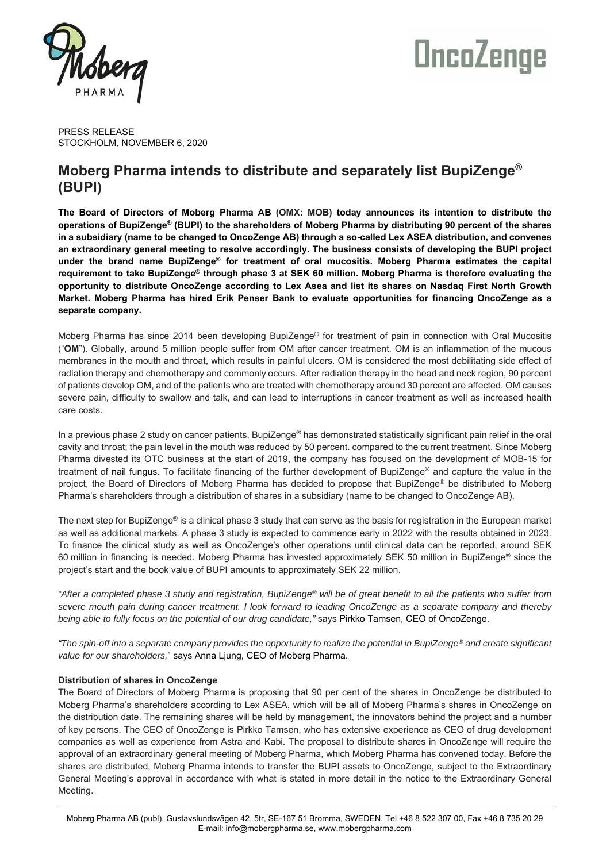

# OncoZenge

PRESS RELEASE STOCKHOLM, NOVEMBER 6, 2020

## **Moberg Pharma intends to distribute and separately list BupiZenge® (BUPI)**

**The Board of Directors of Moberg Pharma AB (OMX: MOB) today announces its intention to distribute the operations of BupiZenge® (BUPI) to the shareholders of Moberg Pharma by distributing 90 percent of the shares in a subsidiary (name to be changed to OncoZenge AB) through a so-called Lex ASEA distribution, and convenes an extraordinary general meeting to resolve accordingly. The business consists of developing the BUPI project under the brand name BupiZenge® for treatment of oral mucositis. Moberg Pharma estimates the capital requirement to take BupiZenge® through phase 3 at SEK 60 million. Moberg Pharma is therefore evaluating the opportunity to distribute OncoZenge according to Lex Asea and list its shares on Nasdaq First North Growth Market. Moberg Pharma has hired Erik Penser Bank to evaluate opportunities for financing OncoZenge as a separate company.**

Moberg Pharma has since 2014 been developing BupiZenge® for treatment of pain in connection with Oral Mucositis ("**OM**"). Globally, around 5 million people suffer from OM after cancer treatment. OM is an inflammation of the mucous membranes in the mouth and throat, which results in painful ulcers. OM is considered the most debilitating side effect of radiation therapy and chemotherapy and commonly occurs. After radiation therapy in the head and neck region, 90 percent of patients develop OM, and of the patients who are treated with chemotherapy around 30 percent are affected. OM causes severe pain, difficulty to swallow and talk, and can lead to interruptions in cancer treatment as well as increased health care costs.

In a previous phase 2 study on cancer patients, BupiZenge® has demonstrated statistically significant pain relief in the oral cavity and throat; the pain level in the mouth was reduced by 50 percent. compared to the current treatment. Since Moberg Pharma divested its OTC business at the start of 2019, the company has focused on the development of MOB-15 for treatment of nail fungus. To facilitate financing of the further development of BupiZenge® and capture the value in the project, the Board of Directors of Moberg Pharma has decided to propose that BupiZenge® be distributed to Moberg Pharma's shareholders through a distribution of shares in a subsidiary (name to be changed to OncoZenge AB).

The next step for BupiZenge® is a clinical phase 3 study that can serve as the basis for registration in the European market as well as additional markets. A phase 3 study is expected to commence early in 2022 with the results obtained in 2023. To finance the clinical study as well as OncoZenge's other operations until clinical data can be reported, around SEK 60 million in financing is needed. Moberg Pharma has invested approximately SEK 50 million in BupiZenge® since the project's start and the book value of BUPI amounts to approximately SEK 22 million.

*"After a completed phase 3 study and registration, BupiZenge® will be of great benefit to all the patients who suffer from severe mouth pain during cancer treatment. I look forward to leading OncoZenge as a separate company and thereby being able to fully focus on the potential of our drug candidate,"* says Pirkko Tamsen, CEO of OncoZenge.

*"The spin-off into a separate company provides the opportunity to realize the potential in BupiZenge® and create significant value for our shareholders,*" says Anna Ljung, CEO of Moberg Pharma.

### **Distribution of shares in OncoZenge**

The Board of Directors of Moberg Pharma is proposing that 90 per cent of the shares in OncoZenge be distributed to Moberg Pharma's shareholders according to Lex ASEA, which will be all of Moberg Pharma's shares in OncoZenge on the distribution date. The remaining shares will be held by management, the innovators behind the project and a number of key persons. The CEO of OncoZenge is Pirkko Tamsen, who has extensive experience as CEO of drug development companies as well as experience from Astra and Kabi. The proposal to distribute shares in OncoZenge will require the approval of an extraordinary general meeting of Moberg Pharma, which Moberg Pharma has convened today. Before the shares are distributed, Moberg Pharma intends to transfer the BUPI assets to OncoZenge, subject to the Extraordinary General Meeting's approval in accordance with what is stated in more detail in the notice to the Extraordinary General Meeting.